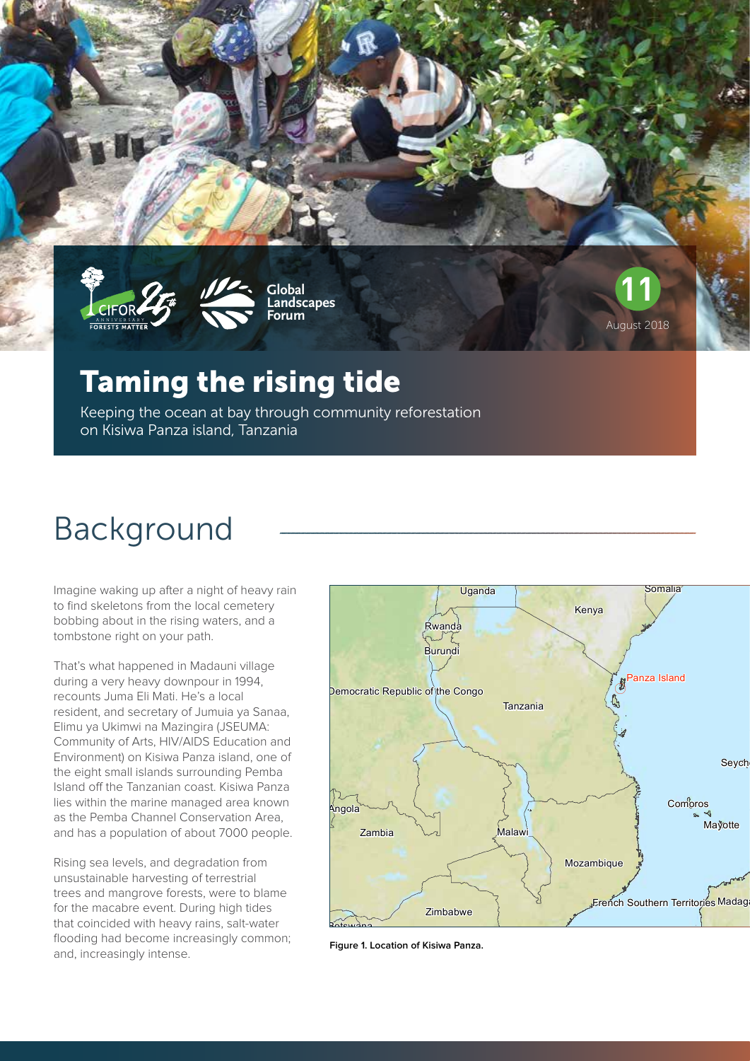



**Global Landscapes Forum**

### Taming the rising tide

Keeping the ocean at bay through community reforestation on Kisiwa Panza island, Tanzania

# Background

Imagine waking up after a night of heavy rain to find skeletons from the local cemetery bobbing about in the rising waters, and a tombstone right on your path.

That's what happened in Madauni village during a very heavy downpour in 1994, recounts Juma Eli Mati. He's a local resident, and secretary of Jumuia ya Sanaa, Elimu ya Ukimwi na Mazingira (JSEUMA: Community of Arts, HIV/AIDS Education and Environment) on Kisiwa Panza island, one of the eight small islands surrounding Pemba Island off the Tanzanian coast. Kisiwa Panza lies within the marine managed area known as the Pemba Channel Conservation Area, and has a population of about 7000 people.

Rising sea levels, and degradation from unsustainable harvesting of terrestrial trees and mangrove forests, were to blame for the macabre event. During high tides that coincided with heavy rains, salt-water flooding had become increasingly common; and, increasingly intense.



**11**

August 2018

**Figure 1. Location of Kisiwa Panza.**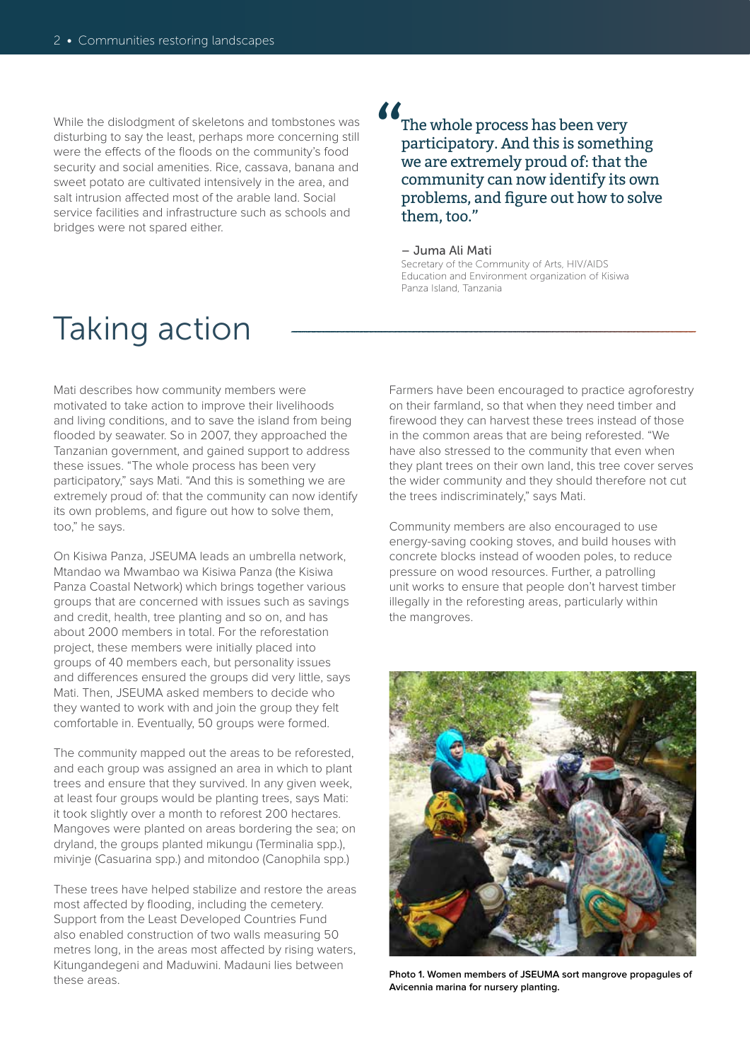While the dislodgment of skeletons and tombstones was disturbing to say the least, perhaps more concerning still were the effects of the floods on the community's food security and social amenities. Rice, cassava, banana and sweet potato are cultivated intensively in the area, and salt intrusion affected most of the arable land. Social service facilities and infrastructure such as schools and bridges were not spared either.

The whole process has been very participatory. And this is something we are extremely proud of: that the community can now identify its own problems, and figure out how to solve them, too."  $\frac{\delta}{\delta}$ 

### – Juma Ali Mati

Secretary of the Community of Arts, HIV/AIDS Education and Environment organization of Kisiwa Panza Island, Tanzania

## Taking action

Mati describes how community members were motivated to take action to improve their livelihoods and living conditions, and to save the island from being flooded by seawater. So in 2007, they approached the Tanzanian government, and gained support to address these issues. "The whole process has been very participatory," says Mati. "And this is something we are extremely proud of: that the community can now identify its own problems, and figure out how to solve them, too," he says.

On Kisiwa Panza, JSEUMA leads an umbrella network, Mtandao wa Mwambao wa Kisiwa Panza (the Kisiwa Panza Coastal Network) which brings together various groups that are concerned with issues such as savings and credit, health, tree planting and so on, and has about 2000 members in total. For the reforestation project, these members were initially placed into groups of 40 members each, but personality issues and differences ensured the groups did very little, says Mati. Then, JSEUMA asked members to decide who they wanted to work with and join the group they felt comfortable in. Eventually, 50 groups were formed.

The community mapped out the areas to be reforested, and each group was assigned an area in which to plant trees and ensure that they survived. In any given week, at least four groups would be planting trees, says Mati: it took slightly over a month to reforest 200 hectares. Mangoves were planted on areas bordering the sea; on dryland, the groups planted mikungu (Terminalia spp.), mivinje (Casuarina spp.) and mitondoo (Canophila spp.)

These trees have helped stabilize and restore the areas most affected by flooding, including the cemetery. Support from the Least Developed Countries Fund also enabled construction of two walls measuring 50 metres long, in the areas most affected by rising waters, Kitungandegeni and Maduwini. Madauni lies between these areas.

Farmers have been encouraged to practice agroforestry on their farmland, so that when they need timber and firewood they can harvest these trees instead of those in the common areas that are being reforested. "We have also stressed to the community that even when they plant trees on their own land, this tree cover serves the wider community and they should therefore not cut the trees indiscriminately," says Mati.

Community members are also encouraged to use energy-saving cooking stoves, and build houses with concrete blocks instead of wooden poles, to reduce pressure on wood resources. Further, a patrolling unit works to ensure that people don't harvest timber illegally in the reforesting areas, particularly within the mangroves.



**Photo 1. Women members of JSEUMA sort mangrove propagules of Avicennia marina for nursery planting.**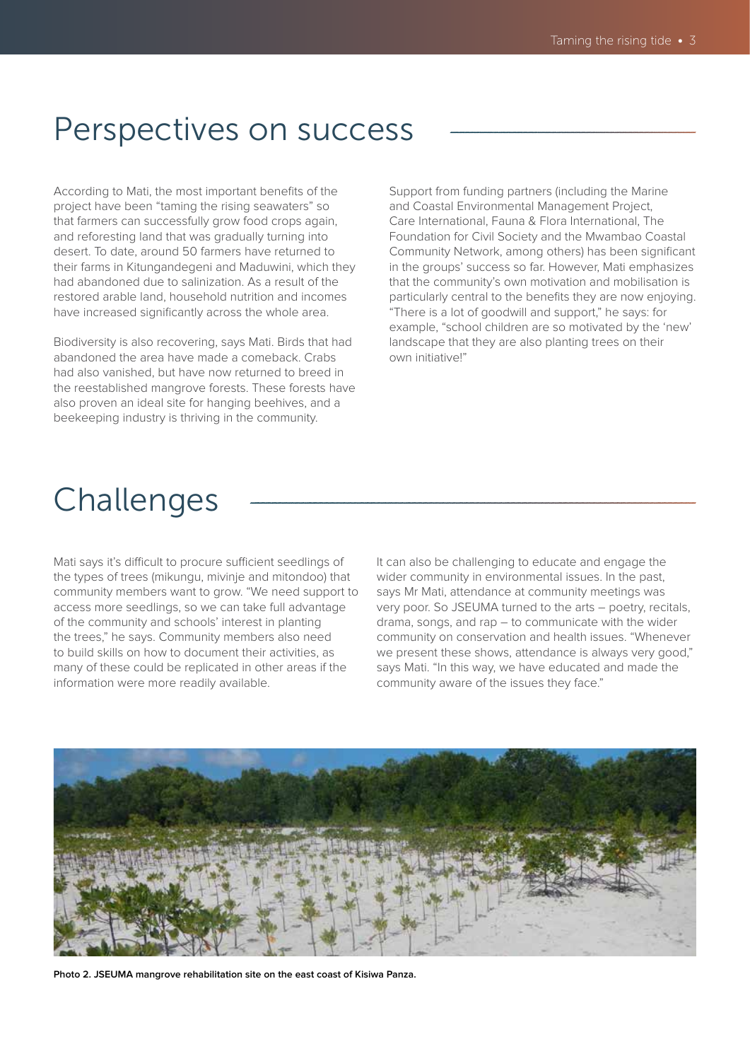## Perspectives on success

According to Mati, the most important benefits of the project have been "taming the rising seawaters" so that farmers can successfully grow food crops again, and reforesting land that was gradually turning into desert. To date, around 50 farmers have returned to their farms in Kitungandegeni and Maduwini, which they had abandoned due to salinization. As a result of the restored arable land, household nutrition and incomes have increased significantly across the whole area.

Biodiversity is also recovering, says Mati. Birds that had abandoned the area have made a comeback. Crabs had also vanished, but have now returned to breed in the reestablished mangrove forests. These forests have also proven an ideal site for hanging beehives, and a beekeeping industry is thriving in the community.

Support from funding partners (including the Marine and Coastal Environmental Management Project, Care International, Fauna & Flora International, The Foundation for Civil Society and the Mwambao Coastal Community Network, among others) has been significant in the groups' success so far. However, Mati emphasizes that the community's own motivation and mobilisation is particularly central to the benefits they are now enjoying. "There is a lot of goodwill and support," he says: for example, "school children are so motivated by the 'new' landscape that they are also planting trees on their own initiative!"

## Challenges

Mati says it's difficult to procure sufficient seedlings of the types of trees (mikungu, mivinje and mitondoo) that community members want to grow. "We need support to access more seedlings, so we can take full advantage of the community and schools' interest in planting the trees," he says. Community members also need to build skills on how to document their activities, as many of these could be replicated in other areas if the information were more readily available.

It can also be challenging to educate and engage the wider community in environmental issues. In the past, says Mr Mati, attendance at community meetings was very poor. So JSEUMA turned to the arts – poetry, recitals, drama, songs, and rap – to communicate with the wider community on conservation and health issues. "Whenever we present these shows, attendance is always very good," says Mati. "In this way, we have educated and made the community aware of the issues they face."



**Photo 2. JSEUMA mangrove rehabilitation site on the east coast of Kisiwa Panza.**